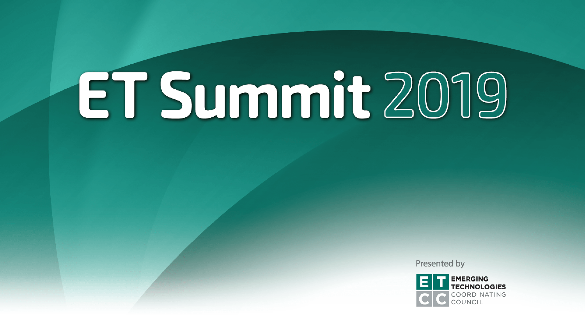Presented by

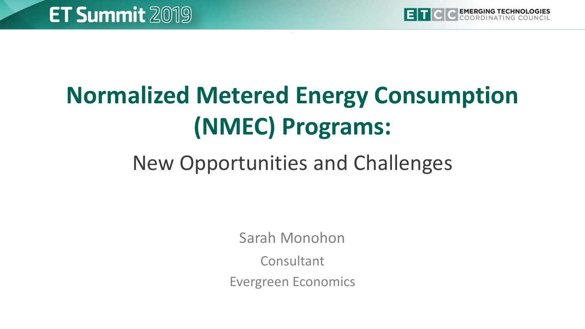

## **Normalized Metered Energy Consumption (NMEC) Programs:**

### New Opportunities and Challenges

Sarah Monohon

**Consultant** 

Evergreen Economics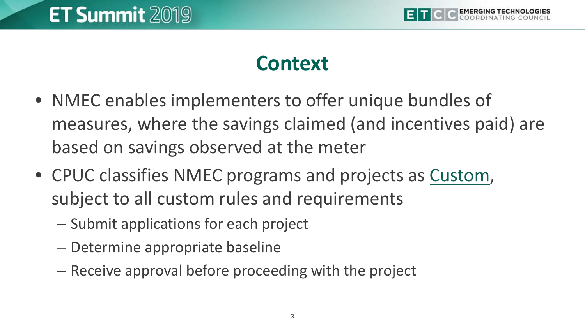

#### **Context**

- NMEC enables implementers to offer unique bundles of measures, where the savings claimed (and incentives paid) are based on savings observed at the meter
- CPUC classifies NMEC programs and projects as Custom, subject to all custom rules and requirements
	- Submit applications for each project
	- Determine appropriate baseline
	- Receive approval before proceeding with the project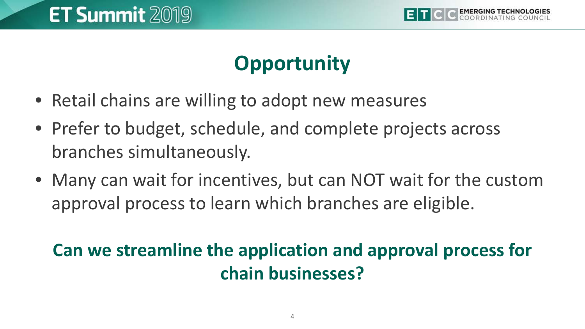

#### **Opportunity**

- Retail chains are willing to adopt new measures
- Prefer to budget, schedule, and complete projects across branches simultaneously.
- Many can wait for incentives, but can NOT wait for the custom approval process to learn which branches are eligible.

#### **Can we streamline the application and approval process for chain businesses?**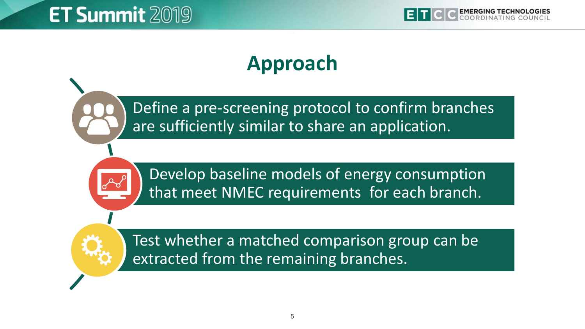#### **Approach**

Define a pre-screening protocol to confirm branches are sufficiently similar to share an application.



Develop baseline models of energy consumption that meet NMEC requirements for each branch.

Test whether a matched comparison group can be extracted from the remaining branches.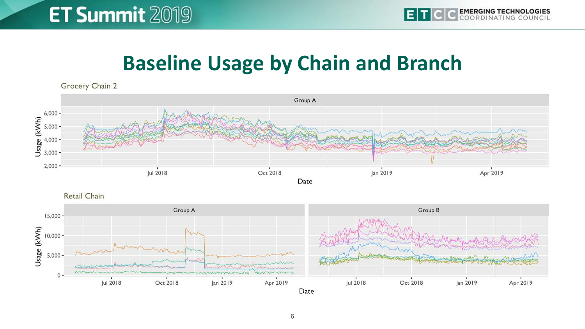#### **Baseline Usage by Chain and Branch**



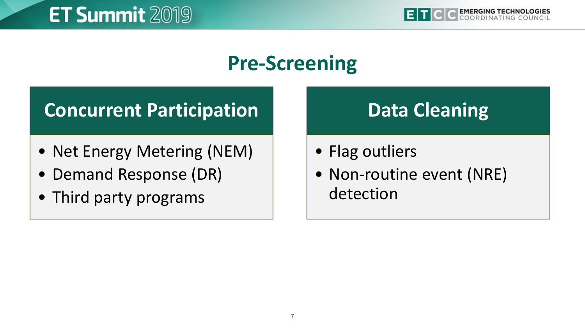#### **Pre-Screening**

#### **Concurrent Participation**

- Net Energy Metering (NEM)
- Demand Response (DR)
- Third party programs

#### **Data Cleaning**

- Flag outliers
- Non-routine event (NRE) detection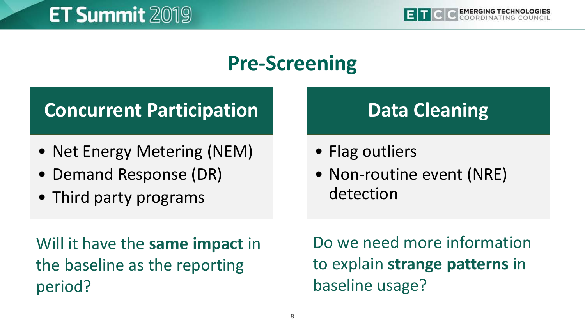#### **Pre-Screening**

#### **Concurrent Participation**

- Net Energy Metering (NEM)
- Demand Response (DR)
- Third party programs

#### **Data Cleaning**

- Flag outliers
- Non-routine event (NRE) detection

Will it have the **same impact** in the baseline as the reporting period?

Do we need more information to explain **strange patterns** in baseline usage?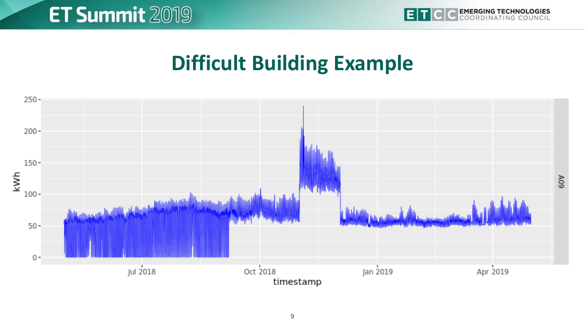

#### **Difficult Building Example**

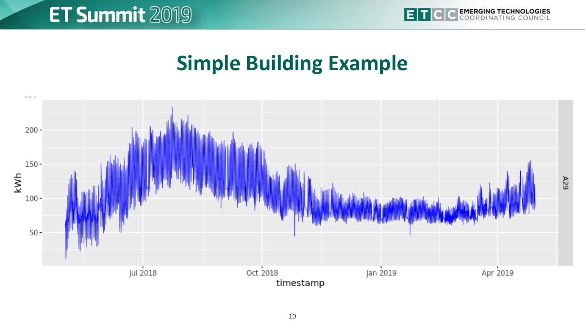

#### **Simple Building Example**

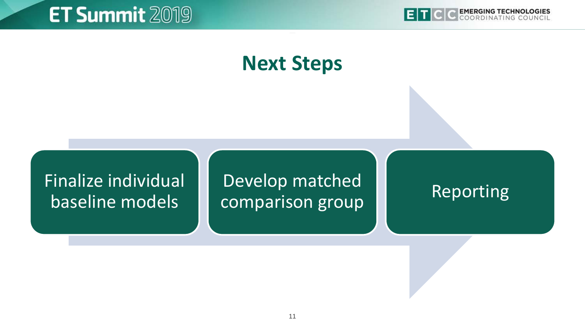

#### **Next Steps**

#### Finalize individual baseline models

#### Develop matched comparison group